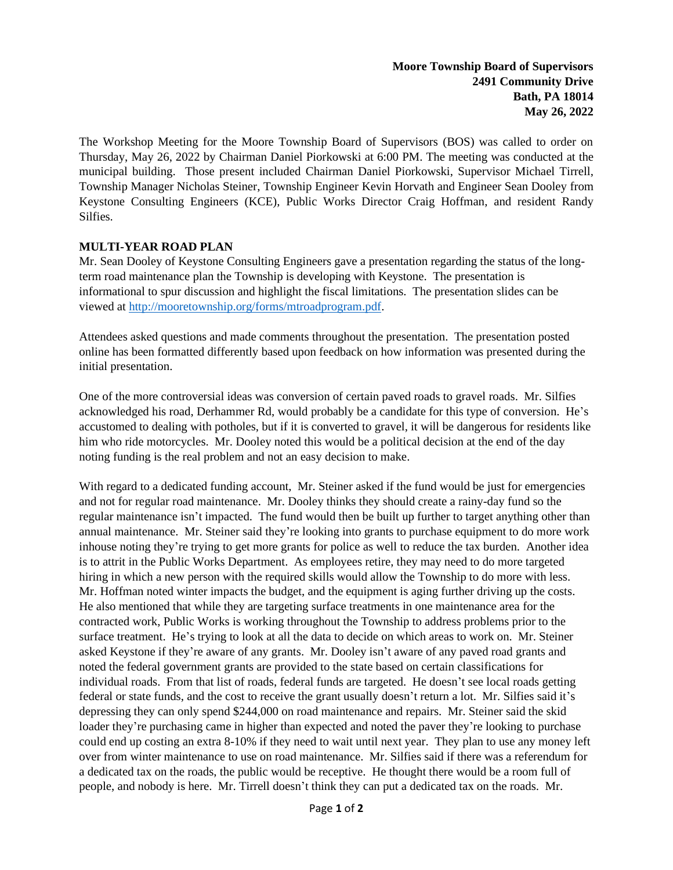The Workshop Meeting for the Moore Township Board of Supervisors (BOS) was called to order on Thursday, May 26, 2022 by Chairman Daniel Piorkowski at 6:00 PM. The meeting was conducted at the municipal building. Those present included Chairman Daniel Piorkowski, Supervisor Michael Tirrell, Township Manager Nicholas Steiner, Township Engineer Kevin Horvath and Engineer Sean Dooley from Keystone Consulting Engineers (KCE), Public Works Director Craig Hoffman, and resident Randy Silfies.

## **MULTI-YEAR ROAD PLAN**

Mr. Sean Dooley of Keystone Consulting Engineers gave a presentation regarding the status of the longterm road maintenance plan the Township is developing with Keystone. The presentation is informational to spur discussion and highlight the fiscal limitations. The presentation slides can be viewed at [http://mooretownship.org/forms/mtroadprogram.pdf.](http://mooretownship.org/forms/mtroadprogram.pdf)

Attendees asked questions and made comments throughout the presentation. The presentation posted online has been formatted differently based upon feedback on how information was presented during the initial presentation.

One of the more controversial ideas was conversion of certain paved roads to gravel roads. Mr. Silfies acknowledged his road, Derhammer Rd, would probably be a candidate for this type of conversion. He's accustomed to dealing with potholes, but if it is converted to gravel, it will be dangerous for residents like him who ride motorcycles. Mr. Dooley noted this would be a political decision at the end of the day noting funding is the real problem and not an easy decision to make.

With regard to a dedicated funding account, Mr. Steiner asked if the fund would be just for emergencies and not for regular road maintenance. Mr. Dooley thinks they should create a rainy-day fund so the regular maintenance isn't impacted. The fund would then be built up further to target anything other than annual maintenance. Mr. Steiner said they're looking into grants to purchase equipment to do more work inhouse noting they're trying to get more grants for police as well to reduce the tax burden. Another idea is to attrit in the Public Works Department. As employees retire, they may need to do more targeted hiring in which a new person with the required skills would allow the Township to do more with less. Mr. Hoffman noted winter impacts the budget, and the equipment is aging further driving up the costs. He also mentioned that while they are targeting surface treatments in one maintenance area for the contracted work, Public Works is working throughout the Township to address problems prior to the surface treatment. He's trying to look at all the data to decide on which areas to work on. Mr. Steiner asked Keystone if they're aware of any grants. Mr. Dooley isn't aware of any paved road grants and noted the federal government grants are provided to the state based on certain classifications for individual roads. From that list of roads, federal funds are targeted. He doesn't see local roads getting federal or state funds, and the cost to receive the grant usually doesn't return a lot. Mr. Silfies said it's depressing they can only spend \$244,000 on road maintenance and repairs. Mr. Steiner said the skid loader they're purchasing came in higher than expected and noted the paver they're looking to purchase could end up costing an extra 8-10% if they need to wait until next year. They plan to use any money left over from winter maintenance to use on road maintenance. Mr. Silfies said if there was a referendum for a dedicated tax on the roads, the public would be receptive. He thought there would be a room full of people, and nobody is here. Mr. Tirrell doesn't think they can put a dedicated tax on the roads. Mr.